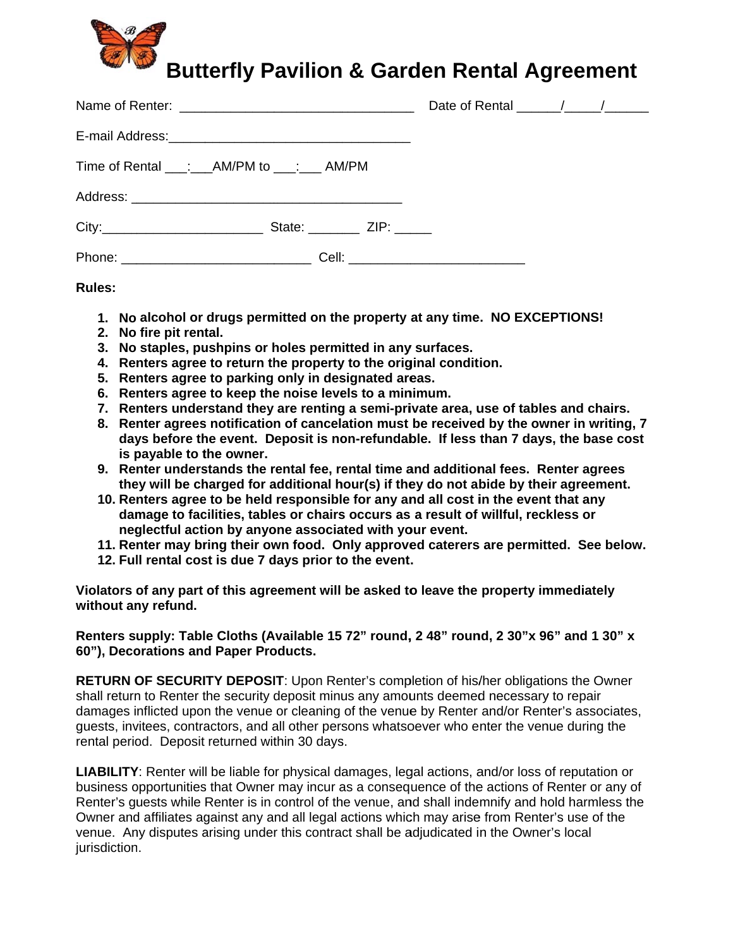## Butterfly Pavilion & Garden Rental Agreement

| E-mail Address: Management Communication and Address: |  |  |  |
|-------------------------------------------------------|--|--|--|
| Time of Rental ___: ___ AM/PM to ___: ___ AM/PM       |  |  |  |
|                                                       |  |  |  |
|                                                       |  |  |  |
|                                                       |  |  |  |

Rules:

- 1. No alcohol or drugs permitted on the property at any time. NO EXCEPTIONS!
- 2. No fire pit rental.
- 3. No staples, pushpins or holes permitted in any surfaces.
- 4. Renters agree to return the property to the original condition.
- 5. Renters agree to parking only in designated areas.
- 6. Renters agree to keep the noise levels to a minimum.
- 7. Renters understand they are renting a semi-private area, use of tables and chairs.
- 8. Renter agrees notification of cancelation must be received by the owner in writing, 7 days before the event. Deposit is non-refundable. If less than 7 days, the base cost is payable to the owner.
- 9. Renter understands the rental fee, rental time and additional fees. Renter agrees they will be charged for additional hour(s) if they do not abide by their agreement.
- 10. Renters agree to be held responsible for any and all cost in the event that any damage to facilities, tables or chairs occurs as a result of willful, reckless or neglectful action by anyone associated with your event.
- 11. Renter may bring their own food. Only approved caterers are permitted. See below.
- 12. Full rental cost is due 7 days prior to the event.

Violators of any part of this agreement will be asked to leave the property immediately without any refund.

## Renters supply: Table Cloths (Available 15 72" round, 2 48" round, 2 30"x 96" and 1 30" x 60"), Decorations and Paper Products.

**RETURN OF SECURITY DEPOSIT:** Upon Renter's completion of his/her obligations the Owner shall return to Renter the security deposit minus any amounts deemed necessary to repair damages inflicted upon the venue or cleaning of the venue by Renter and/or Renter's associates, quests, invitees, contractors, and all other persons whatsoever who enter the venue during the rental period. Deposit returned within 30 days.

**LIABILITY:** Renter will be liable for physical damages, legal actions, and/or loss of reputation or business opportunities that Owner may incur as a consequence of the actions of Renter or any of Renter's guests while Renter is in control of the venue, and shall indemnify and hold harmless the Owner and affiliates against any and all legal actions which may arise from Renter's use of the venue. Any disputes arising under this contract shall be adjudicated in the Owner's local jurisdiction.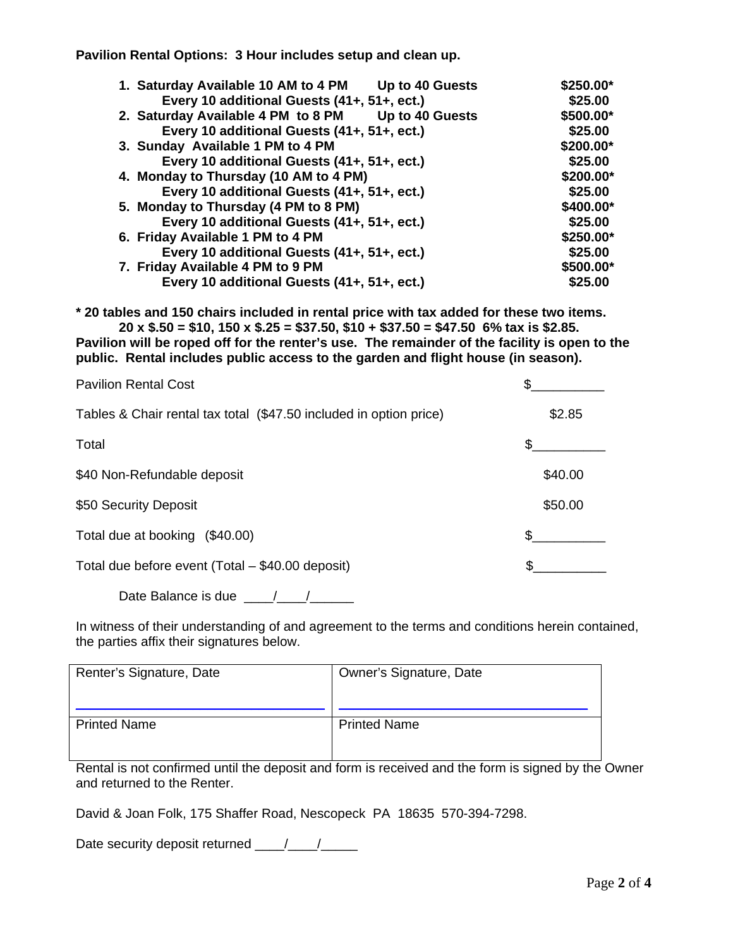**Pavilion Rental Options: 3 Hour includes setup and clean up.** 

| <b>Up to 40 Guests</b><br>1. Saturday Available 10 AM to 4 PM | \$250.00* |
|---------------------------------------------------------------|-----------|
| Every 10 additional Guests (41+, 51+, ect.)                   | \$25.00   |
| 2. Saturday Available 4 PM to 8 PM<br>Up to 40 Guests         | \$500.00* |
| Every 10 additional Guests (41+, 51+, ect.)                   | \$25.00   |
| 3. Sunday Available 1 PM to 4 PM                              | \$200.00* |
| Every 10 additional Guests (41+, 51+, ect.)                   | \$25.00   |
| 4. Monday to Thursday (10 AM to 4 PM)                         | \$200.00* |
| Every 10 additional Guests (41+, 51+, ect.)                   | \$25.00   |
| 5. Monday to Thursday (4 PM to 8 PM)                          | \$400.00* |
| Every 10 additional Guests (41+, 51+, ect.)                   | \$25.00   |
| 6. Friday Available 1 PM to 4 PM                              | \$250.00* |
| Every 10 additional Guests (41+, 51+, ect.)                   | \$25.00   |
| 7. Friday Available 4 PM to 9 PM                              | \$500.00* |
| Every 10 additional Guests (41+, 51+, ect.)                   | \$25.00   |
|                                                               |           |

**\* 20 tables and 150 chairs included in rental price with tax added for these two items. 20 x \$.50 = \$10, 150 x \$.25 = \$37.50, \$10 + \$37.50 = \$47.50 6% tax is \$2.85.** 

**Pavilion will be roped off for the renter's use. The remainder of the facility is open to the public. Rental includes public access to the garden and flight house (in season).** 

| <b>Pavilion Rental Cost</b>                                        |         |
|--------------------------------------------------------------------|---------|
| Tables & Chair rental tax total (\$47.50 included in option price) | \$2.85  |
| Total                                                              | S       |
| \$40 Non-Refundable deposit                                        | \$40.00 |
| \$50 Security Deposit                                              | \$50.00 |
| Total due at booking<br>(\$40.00)                                  | \$.     |
| Total due before event (Total – \$40.00 deposit)                   |         |

Date Balance is due  $\frac{1}{\sqrt{1-\frac{1}{2}}}\frac{1}{\sqrt{1-\frac{1}{2}}}\frac{1}{\sqrt{1-\frac{1}{2}}}\frac{1}{\sqrt{1-\frac{1}{2}}}\frac{1}{\sqrt{1-\frac{1}{2}}}\frac{1}{\sqrt{1-\frac{1}{2}}}\frac{1}{\sqrt{1-\frac{1}{2}}}\frac{1}{\sqrt{1-\frac{1}{2}}}\frac{1}{\sqrt{1-\frac{1}{2}}}\frac{1}{\sqrt{1-\frac{1}{2}}}\frac{1}{\sqrt{1-\frac{1}{2}}}\frac{1}{\sqrt{1-\frac{1}{2}}}\frac{1}{\sqrt{$ 

In witness of their understanding of and agreement to the terms and conditions herein contained, the parties affix their signatures below.

| Renter's Signature, Date | Owner's Signature, Date |
|--------------------------|-------------------------|
| <b>Printed Name</b>      | <b>Printed Name</b>     |

Rental is not confirmed until the deposit and form is received and the form is signed by the Owner and returned to the Renter.

David & Joan Folk, 175 Shaffer Road, Nescopeck PA 18635 570-394-7298.

Date security deposit returned \_\_\_\_/\_\_\_/\_\_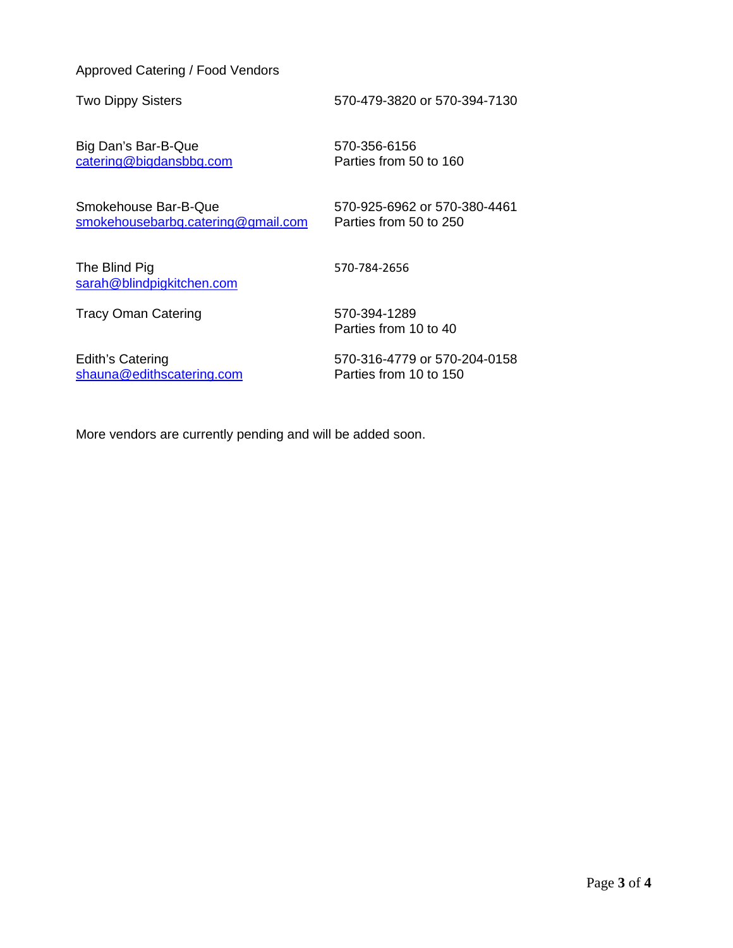## Approved Catering / Food Vendors

Two Dippy Sisters 570-479-3820 or 570-394-7130

Big Dan's Bar-B-Que 570-356-6156 catering@bigdansbbq.com Parties from 50 to 160

Smokehouse Bar-B-Que 570-925-6962 or 570-380-4461 smokehousebarbq.catering@gmail.com Parties from 50 to 250

The Blind Pig 670-784-2656 sarah@blindpigkitchen.com

Tracy Oman Catering 570-394-1289

Parties from 10 to 40

Edith's Catering 570-316-4779 or 570-204-0158 shauna@edithscatering.com Parties from 10 to 150

More vendors are currently pending and will be added soon.